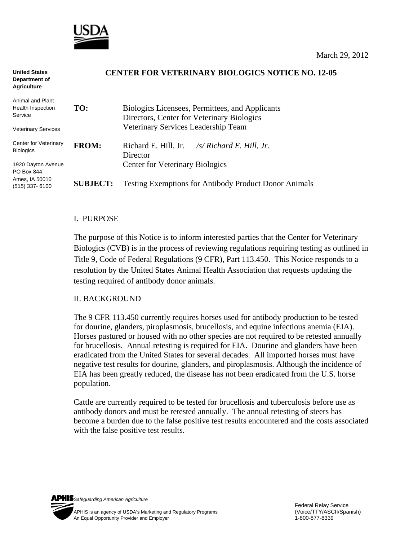

#### **CENTER FOR VETERINARY BIOLOGICS NOTICE NO. 12-05 TO:** Biologics Licensees, Permittees, and Applicants Directors, Center for Veterinary Biologics Veterinary Services Leadership Team **FROM:** Richard E. Hill, Jr. */s/ Richard E. Hill, Jr.*  Director **United States Department of Agriculture**  Animal and Plant Health Inspection Service Veterinary Services Center for Veterinary Biologics

1920 Dayton Avenue PO Box 844 Ames, IA 50010 (515) 337- 6100

 Center for Veterinary Biologics **SUBJECT:** Testing Exemptions for Antibody Product Donor Animals

## I. PURPOSE

The purpose of this Notice is to inform interested parties that the Center for Veterinary Biologics (CVB) is in the process of reviewing regulations requiring testing as outlined in Title 9, Code of Federal Regulations (9 CFR), Part 113.450. This Notice responds to a resolution by the United States Animal Health Association that requests updating the testing required of antibody donor animals.

## II. BACKGROUND

The 9 CFR 113.450 currently requires horses used for antibody production to be tested for dourine, glanders, piroplasmosis, brucellosis, and equine infectious anemia (EIA). Horses pastured or housed with no other species are not required to be retested annually for brucellosis. Annual retesting is required for EIA. Dourine and glanders have been eradicated from the United States for several decades. All imported horses must have negative test results for dourine, glanders, and piroplasmosis. Although the incidence of EIA has been greatly reduced, the disease has not been eradicated from the U.S. horse population.

Cattle are currently required to be tested for brucellosis and tuberculosis before use as antibody donors and must be retested annually. The annual retesting of steers has become a burden due to the false positive test results encountered and the costs associated with the false positive test results.

*Safeguarding American Agriculture*  APHIS is an agency of USDA's Marketing and Regulatory Programs(Voice/TTY/ASCII/Spanish) An Equal Opportunity Provider and Employer